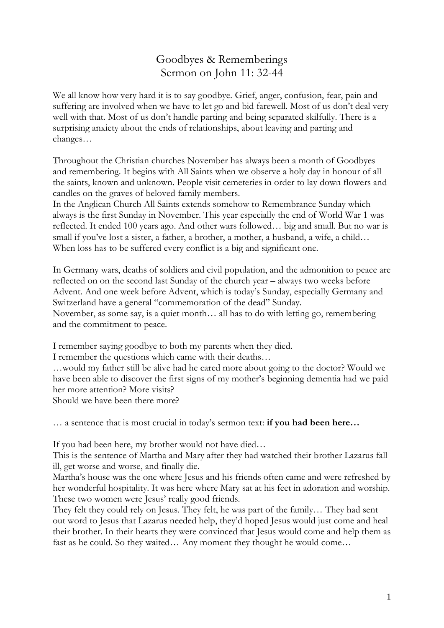## Goodbyes & Rememberings Sermon on John 11: 32-44

We all know how very hard it is to say goodbye. Grief, anger, confusion, fear, pain and suffering are involved when we have to let go and bid farewell. Most of us don't deal very well with that. Most of us don't handle parting and being separated skilfully. There is a surprising anxiety about the ends of relationships, about leaving and parting and changes…

Throughout the Christian churches November has always been a month of Goodbyes and remembering. It begins with All Saints when we observe a holy day in honour of all the saints, known and unknown. People visit cemeteries in order to lay down flowers and candles on the graves of beloved family members.

In the Anglican Church All Saints extends somehow to Remembrance Sunday which always is the first Sunday in November. This year especially the end of World War 1 was reflected. It ended 100 years ago. And other wars followed… big and small. But no war is small if you've lost a sister, a father, a brother, a mother, a husband, a wife, a child… When loss has to be suffered every conflict is a big and significant one.

In Germany wars, deaths of soldiers and civil population, and the admonition to peace are reflected on on the second last Sunday of the church year – always two weeks before Advent. And one week before Advent, which is today's Sunday, especially Germany and Switzerland have a general "commemoration of the dead" Sunday. November, as some say, is a quiet month… all has to do with letting go, remembering and the commitment to peace.

I remember saying goodbye to both my parents when they died.

I remember the questions which came with their deaths…

…would my father still be alive had he cared more about going to the doctor? Would we have been able to discover the first signs of my mother's beginning dementia had we paid her more attention? More visits?

Should we have been there more?

… a sentence that is most crucial in today's sermon text: **if you had been here…**

If you had been here, my brother would not have died…

This is the sentence of Martha and Mary after they had watched their brother Lazarus fall ill, get worse and worse, and finally die.

Martha's house was the one where Jesus and his friends often came and were refreshed by her wonderful hospitality. It was here where Mary sat at his feet in adoration and worship. These two women were Jesus' really good friends.

They felt they could rely on Jesus. They felt, he was part of the family… They had sent out word to Jesus that Lazarus needed help, they'd hoped Jesus would just come and heal their brother. In their hearts they were convinced that Jesus would come and help them as fast as he could. So they waited… Any moment they thought he would come…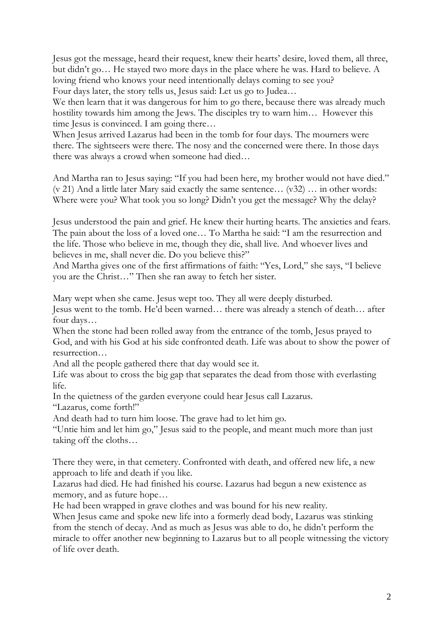Jesus got the message, heard their request, knew their hearts' desire, loved them, all three, but didn't go… He stayed two more days in the place where he was. Hard to believe. A loving friend who knows your need intentionally delays coming to see you? Four days later, the story tells us, Jesus said: Let us go to Judea…

We then learn that it was dangerous for him to go there, because there was already much hostility towards him among the Jews. The disciples try to warn him... However this time Jesus is convinced. I am going there...

When Jesus arrived Lazarus had been in the tomb for four days. The mourners were there. The sightseers were there. The nosy and the concerned were there. In those days there was always a crowd when someone had died…

And Martha ran to Jesus saying: "If you had been here, my brother would not have died." (v 21) And a little later Mary said exactly the same sentence… (v32) … in other words: Where were you? What took you so long? Didn't you get the message? Why the delay?

Jesus understood the pain and grief. He knew their hurting hearts. The anxieties and fears. The pain about the loss of a loved one… To Martha he said: "I am the resurrection and the life. Those who believe in me, though they die, shall live. And whoever lives and believes in me, shall never die. Do you believe this?"

And Martha gives one of the first affirmations of faith: "Yes, Lord," she says, "I believe you are the Christ…" Then she ran away to fetch her sister.

Mary wept when she came. Jesus wept too. They all were deeply disturbed.

Jesus went to the tomb. He'd been warned… there was already a stench of death… after four days…

When the stone had been rolled away from the entrance of the tomb, Jesus prayed to God, and with his God at his side confronted death. Life was about to show the power of resurrection…

And all the people gathered there that day would see it.

Life was about to cross the big gap that separates the dead from those with everlasting life.

In the quietness of the garden everyone could hear Jesus call Lazarus.

"Lazarus, come forth!"

And death had to turn him loose. The grave had to let him go.

"Untie him and let him go," Jesus said to the people, and meant much more than just taking off the cloths…

There they were, in that cemetery. Confronted with death, and offered new life, a new approach to life and death if you like.

Lazarus had died. He had finished his course. Lazarus had begun a new existence as memory, and as future hope…

He had been wrapped in grave clothes and was bound for his new reality.

When Jesus came and spoke new life into a formerly dead body, Lazarus was stinking from the stench of decay. And as much as Jesus was able to do, he didn't perform the miracle to offer another new beginning to Lazarus but to all people witnessing the victory of life over death.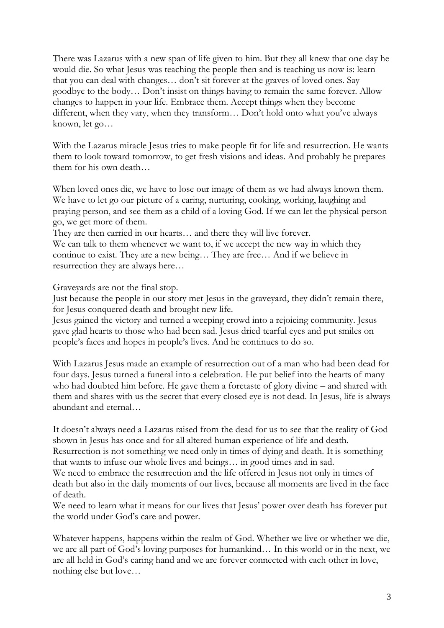There was Lazarus with a new span of life given to him. But they all knew that one day he would die. So what Jesus was teaching the people then and is teaching us now is: learn that you can deal with changes… don't sit forever at the graves of loved ones. Say goodbye to the body… Don't insist on things having to remain the same forever. Allow changes to happen in your life. Embrace them. Accept things when they become different, when they vary, when they transform… Don't hold onto what you've always known, let go…

With the Lazarus miracle Jesus tries to make people fit for life and resurrection. He wants them to look toward tomorrow, to get fresh visions and ideas. And probably he prepares them for his own death…

When loved ones die, we have to lose our image of them as we had always known them. We have to let go our picture of a caring, nurturing, cooking, working, laughing and praying person, and see them as a child of a loving God. If we can let the physical person go, we get more of them.

They are then carried in our hearts… and there they will live forever.

We can talk to them whenever we want to, if we accept the new way in which they continue to exist. They are a new being… They are free… And if we believe in resurrection they are always here…

Graveyards are not the final stop.

Just because the people in our story met Jesus in the graveyard, they didn't remain there, for Jesus conquered death and brought new life.

Jesus gained the victory and turned a weeping crowd into a rejoicing community. Jesus gave glad hearts to those who had been sad. Jesus dried tearful eyes and put smiles on people's faces and hopes in people's lives. And he continues to do so.

With Lazarus Jesus made an example of resurrection out of a man who had been dead for four days. Jesus turned a funeral into a celebration. He put belief into the hearts of many who had doubted him before. He gave them a foretaste of glory divine – and shared with them and shares with us the secret that every closed eye is not dead. In Jesus, life is always abundant and eternal…

It doesn't always need a Lazarus raised from the dead for us to see that the reality of God shown in Jesus has once and for all altered human experience of life and death.

Resurrection is not something we need only in times of dying and death. It is something that wants to infuse our whole lives and beings… in good times and in sad.

We need to embrace the resurrection and the life offered in Jesus not only in times of death but also in the daily moments of our lives, because all moments are lived in the face of death.

We need to learn what it means for our lives that Jesus' power over death has forever put the world under God's care and power.

Whatever happens, happens within the realm of God. Whether we live or whether we die, we are all part of God's loving purposes for humankind… In this world or in the next, we are all held in God's caring hand and we are forever connected with each other in love, nothing else but love…